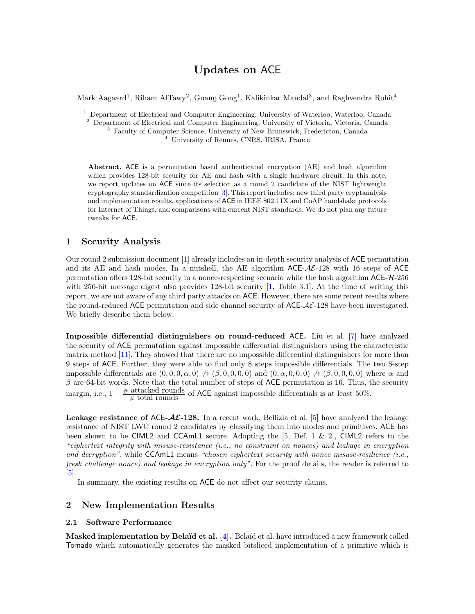# Updates on ACE

Mark Aagaard<sup>1</sup>, Riham AlTawy<sup>2</sup>, Guang Gong<sup>1</sup>, Kalikinkar Mandal<sup>3</sup>, and Raghvendra Rohit<sup>4</sup>

<sup>1</sup> Department of Electrical and Computer Engineering, University of Waterloo, Waterloo, Canada

<sup>2</sup> Department of Electrical and Computer Engineering, University of Victoria, Victoria, Canada

<sup>3</sup> Faculty of Computer Science, University of New Brunswick, Fredericton, Canada <sup>4</sup> University of Rennes, CNRS, IRISA, France

Abstract. ACE is a permutation based authenticated encryption (AE) and hash algorithm which provides 128-bit security for AE and hash with a single hardware circuit. In this note, we report updates on ACE since its selection as a round 2 candidate of the NIST lightweight cryptography standardization competition [\[3\]](#page-2-0). This report includes: new third party cryptanalysis and implementation results, applications of ACE in IEEE 802.11X and CoAP handshake protocols for Internet of Things, and comparisons with current NIST standards. We do not plan any future tweaks for ACE.

# 1 Security Analysis

Our round 2 submission document [\[1\]](#page-2-1) already includes an in-depth security analysis of ACE permutation and its AE and hash modes. In a nutshell, the AE algorithm  $ACE-AE-128$  with 16 steps of ACE permutation offers 128-bit security in a nonce-respecting scenario while the hash algorithm ACE-H-256 with 256-bit message digest also provides 128-bit security [\[1,](#page-2-1) Table 3.1]. At the time of writing this report, we are not aware of any third party attacks on ACE. However, there are some recent results where the round-reduced ACE permutation and side channel security of  $ACE-AE-128$  have been investigated. We briefly describe them below.

Impossible differential distinguishers on round-reduced ACE. Liu et al. [\[7\]](#page-2-2) have analyzed the security of ACE permutation against impossible differential distinguishers using the characteristic matrix method [\[11\]](#page-2-3). They showed that there are no impossible differential distinguishers for more than 9 steps of ACE. Further, they were able to find only 8 steps impossible differentials. The two 8-step impossible differentials are  $(0, 0, 0, \alpha, 0) \nrightarrow (\beta, 0, 0, 0, 0)$  and  $(0, \alpha, 0, 0, 0) \nrightarrow (\beta, 0, 0, 0, 0)$  where  $\alpha$  and  $\beta$  are 64-bit words. Note that the total number of steps of ACE permutation is 16. Thus, the security margin, i.e.,  $1 - \frac{\text{\# attacked rounds}}{\text{\# total rounds}}$  of ACE against impossible differentials is at least 50%.

**Leakage resistance of ACE-AE-128.** In a recent work, Bellizia et al. [\[5\]](#page-2-4) have analyzed the leakage resistance of NIST LWC round 2 candidates by classifying them into modes and primitives. ACE has been shown to be CIML2 and CCAmL1 secure. Adopting the [\[5,](#page-2-4) Def. 1 & 2], CIML2 refers to the "ciphertext integrity with misuse-resistance (i.e., no constraint on nonces) and leakage in encryption and decryption", while  $CCAmL1$  means "chosen ciphertext security with nonce misuse-resilience (i.e., fresh challenge nonce) and leakage in encryption only". For the proof details, the reader is referred to [\[5\]](#page-2-4).

In summary, the existing results on ACE do not affect our security claims.

# 2 New Implementation Results

#### 2.1 Software Performance

Masked implementation by Belaïd et al. [\[4\]](#page-2-5). Belaïd et al. have introduced a new framework called Tornado which automatically generates the masked bitsliced implementation of a primitive which is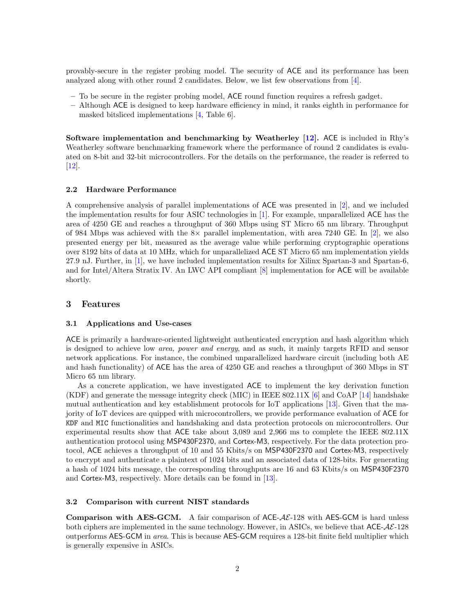provably-secure in the register probing model. The security of ACE and its performance has been analyzed along with other round 2 candidates. Below, we list few observations from [\[4\]](#page-2-5).

- To be secure in the register probing model, ACE round function requires a refresh gadget.
- Although ACE is designed to keep hardware efficiency in mind, it ranks eighth in performance for masked bitsliced implementations [\[4,](#page-2-5) Table 6].

Software implementation and benchmarking by Weatherley  $[12]$ . ACE is included in Rhy's Weatherley software benchmarking framework where the performance of round 2 candidates is evaluated on 8-bit and 32-bit microcontrollers. For the details on the performance, the reader is referred to [\[12\]](#page-2-6).

#### 2.2 Hardware Performance

A comprehensive analysis of parallel implementations of ACE was presented in [\[2\]](#page-2-7), and we included the implementation results for four ASIC technologies in [\[1\]](#page-2-1). For example, unparallelized ACE has the area of 4250 GE and reaches a throughput of 360 Mbps using ST Micro 65 nm library. Throughput of 984 Mbps was achieved with the  $8\times$  parallel implementation, with area 7240 GE. In [\[2\]](#page-2-7), we also presented energy per bit, measured as the average value while performing cryptographic operations over 8192 bits of data at 10 MHz, which for unparallelized ACE ST Micro 65 nm implementation yields 27.9 nJ. Further, in [\[1\]](#page-2-1), we have included implementation results for Xilinx Spartan-3 and Spartan-6, and for Intel/Altera Stratix IV. An LWC API compliant [\[8\]](#page-2-8) implementation for ACE will be available shortly.

## 3 Features

#### 3.1 Applications and Use-cases

ACE is primarily a hardware-oriented lightweight authenticated encryption and hash algorithm which is designed to achieve low area, power and energy, and as such, it mainly targets RFID and sensor network applications. For instance, the combined unparallelized hardware circuit (including both AE and hash functionality) of ACE has the area of 4250 GE and reaches a throughput of 360 Mbps in ST Micro 65 nm library.

As a concrete application, we have investigated ACE to implement the key derivation function (KDF) and generate the message integrity check (MIC) in IEEE 802.11X [\[6\]](#page-2-9) and CoAP [\[14\]](#page-2-10) handshake mutual authentication and key establishment protocols for IoT applications [\[13\]](#page-2-11). Given that the majority of IoT devices are quipped with microcontrollers, we provide performance evaluation of ACE for KDF and MIC functionalities and handshaking and data protection protocols on microcontrollers. Our experimental results show that ACE take about 3,089 and 2,966 ms to complete the IEEE 802.11X authentication protocol using MSP430F2370, and Cortex-M3, respectively. For the data protection protocol, ACE achieves a throughput of 10 and 55 Kbits/s on MSP430F2370 and Cortex-M3, respectively to encrypt and authenticate a plaintext of 1024 bits and an associated data of 128-bits. For generating a hash of 1024 bits message, the corresponding throughputs are 16 and 63 Kbits/s on MSP430F2370 and Cortex-M3, respectively. More details can be found in [\[13\]](#page-2-11).

### 3.2 Comparison with current NIST standards

**Comparison with AES-GCM.** A fair comparison of ACE- $AE-128$  with AES-GCM is hard unless both ciphers are implemented in the same technology. However, in ASICs, we believe that  $\text{ACE-}\text{AE-}128$ outperforms AES-GCM in area. This is because AES-GCM requires a 128-bit finite field multiplier which is generally expensive in ASICs.